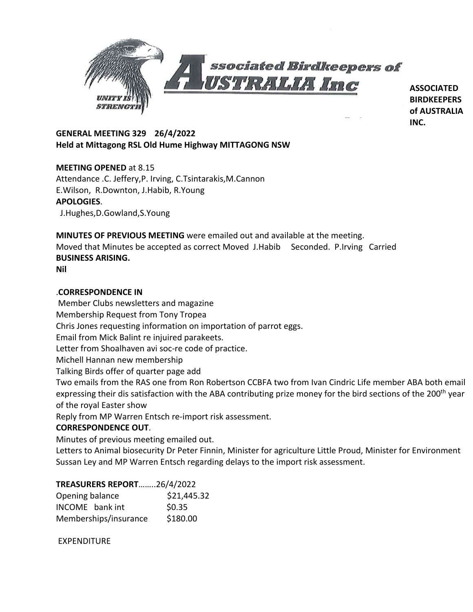

**ASSOCIATED BIRDKEEPERS of AUSTRALIA INC.**

# **GENERAL MEETING 329 26/4/2022 Held at Mittagong RSL Old Hume Highway MITTAGONG NSW**

# **MEETING OPENED** at 8.15

Attendance .C. Jeffery,P. Irving, C.Tsintarakis,M.Cannon E.Wilson, R.Downton, J.Habib, R.Young **APOLOGIES**. J.Hughes,D.Gowland,S.Young

**MINUTES OF PREVIOUS MEETING** were emailed out and available at the meeting. Moved that Minutes be accepted as correct Moved J.Habib Seconded. P.Irving Carried **BUSINESS ARISING.**

**Nil**

## .**CORRESPONDENCE IN**

Member Clubs newsletters and magazine Membership Request from Tony Tropea Chris Jones requesting information on importation of parrot eggs. Email from Mick Balint re injuired parakeets. Letter from Shoalhaven avi soc-re code of practice. Michell Hannan new membership Talking Birds offer of quarter page add Two emails from the RAS one from Ron Robertson CCBFA two from Ivan Cindric Life member ABA both email expressing their dis satisfaction with the ABA contributing prize money for the bird sections of the 200<sup>th</sup> year of the royal Easter show Reply from MP Warren Entsch re-import risk assessment.

## **CORRESPONDENCE OUT**.

Minutes of previous meeting emailed out.

Letters to Animal biosecurity Dr Peter Finnin, Minister for agriculture Little Proud, Minister for Environment Sussan Ley and MP Warren Entsch regarding delays to the import risk assessment.

## **TREASURERS REPORT**……..26/4/2022

| Opening balance       | \$21,445.32 |
|-----------------------|-------------|
| INCOME bank int       | \$0.35      |
| Memberships/insurance | \$180.00    |

EXPENDITURE